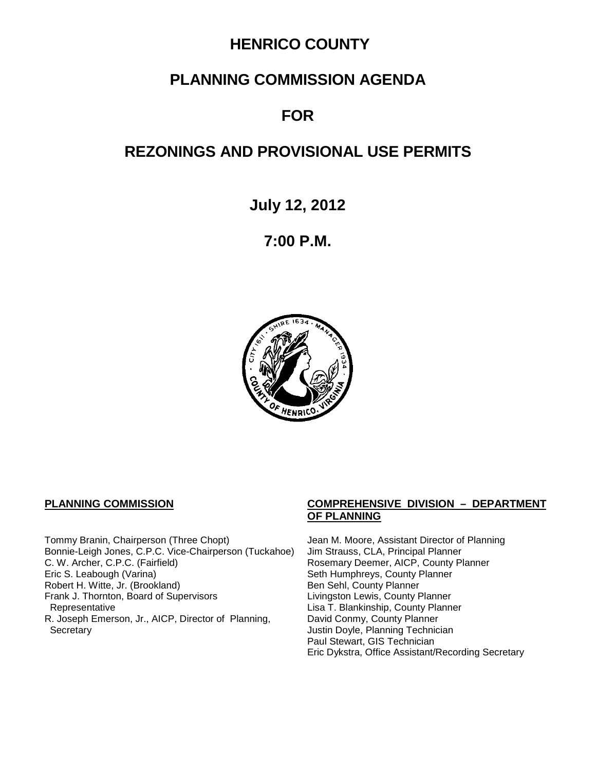## **HENRICO COUNTY**

# **PLANNING COMMISSION AGENDA**

# **FOR**

# **REZONINGS AND PROVISIONAL USE PERMITS**

**July 12, 2012**

**7:00 P.M.**



Tommy Branin, Chairperson (Three Chopt) Jean M. Moore, Assistant Director of Planning<br>Bonnie-Leigh Jones, C.P.C. Vice-Chairperson (Tuckahoe) Jim Strauss, CLA, Principal Planner Bonnie-Leigh Jones, C.P.C. Vice-Chairperson (Tuckahoe) C. W. Archer, C.P.C. (Fairfield) <br>
Eric S. Leabough (Varina) **Rosemary Deemer, AICP, County Planner**<br>
Seth Humphreys, County Planner Robert H. Witte, Jr. (Brookland) Ben Sehl, County Planner Frank J. Thornton, Board of Supervisors Representative R. Joseph Emerson, Jr., AICP, Director of Planning, Secretary **Secretary Justin Doyle, Planning Technician** 

#### **PLANNING COMMISSION COMPREHENSIVE DIVISION – DEPARTMENT OF PLANNING**

Seth Humphreys, County Planner<br>Ben Sehl, County Planner Lisa T. Blankinship, County Planner David Conmy, County Planner Paul Stewart, GIS Technician Eric Dykstra, Office Assistant/Recording Secretary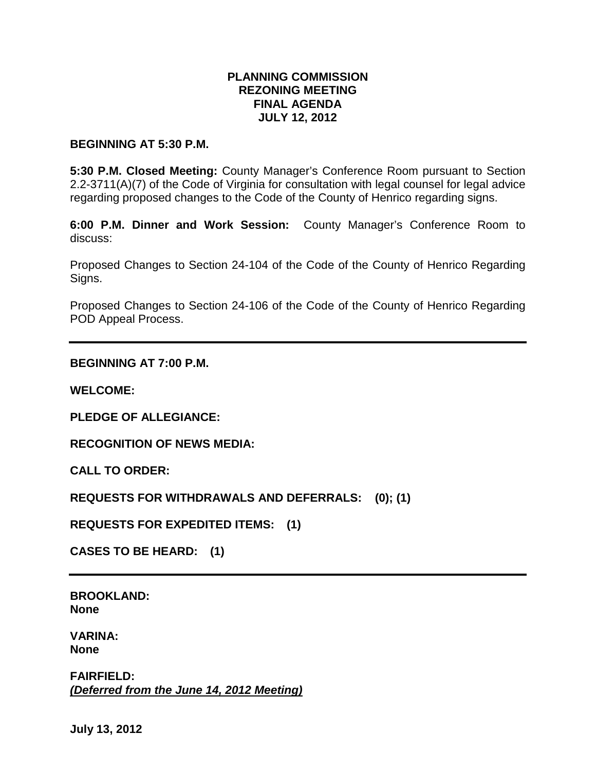### **PLANNING COMMISSION REZONING MEETING FINAL AGENDA JULY 12, 2012**

#### **BEGINNING AT 5:30 P.M.**

**5:30 P.M. Closed Meeting:** County Manager's Conference Room pursuant to Section 2.2-3711(A)(7) of the Code of Virginia for consultation with legal counsel for legal advice regarding proposed changes to the Code of the County of Henrico regarding signs.

**6:00 P.M. Dinner and Work Session:** County Manager's Conference Room to discuss:

Proposed Changes to Section 24-104 of the Code of the County of Henrico Regarding Signs.

Proposed Changes to Section 24-106 of the Code of the County of Henrico Regarding POD Appeal Process.

#### **BEGINNING AT 7:00 P.M.**

**WELCOME:**

**PLEDGE OF ALLEGIANCE:**

**RECOGNITION OF NEWS MEDIA:**

**CALL TO ORDER:**

**REQUESTS FOR WITHDRAWALS AND DEFERRALS: (0); (1)**

**REQUESTS FOR EXPEDITED ITEMS: (1)**

**CASES TO BE HEARD: (1)**

**BROOKLAND: None**

**VARINA: None**

**FAIRFIELD:** *(Deferred from the June 14, 2012 Meeting)*

**July 13, 2012**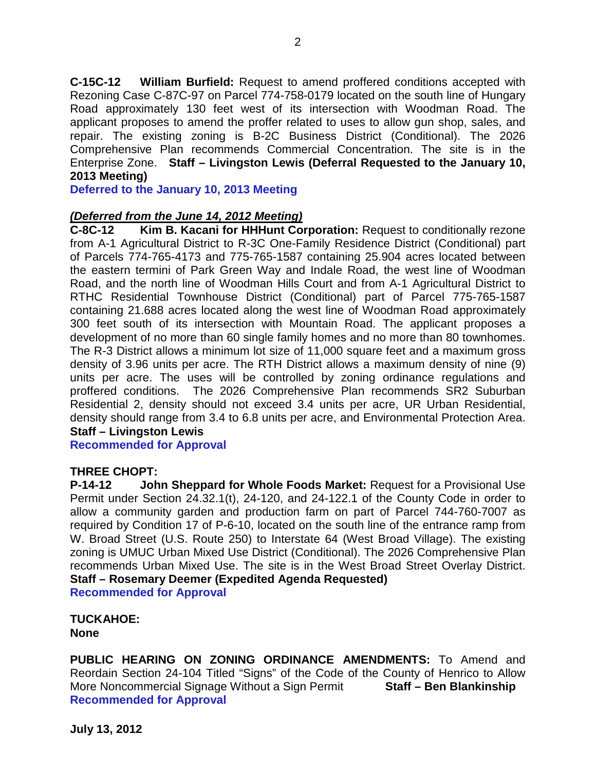**C-15C-12 William Burfield:** Request to amend proffered conditions accepted with Rezoning Case C-87C-97 on Parcel 774-758-0179 located on the south line of Hungary Road approximately 130 feet west of its intersection with Woodman Road. The applicant proposes to amend the proffer related to uses to allow gun shop, sales, and repair. The existing zoning is B-2C Business District (Conditional). The 2026 Comprehensive Plan recommends Commercial Concentration. The site is in the Enterprise Zone. **Staff – Livingston Lewis (Deferral Requested to the January 10, 2013 Meeting)**

**Deferred to the January 10, 2013 Meeting**

# *(Deferred from the June 14, 2012 Meeting)*

**Kim B. Kacani for HHHunt Corporation:** Request to conditionally rezone from A-1 Agricultural District to R-3C One-Family Residence District (Conditional) part of Parcels 774-765-4173 and 775-765-1587 containing 25.904 acres located between the eastern termini of Park Green Way and Indale Road, the west line of Woodman Road, and the north line of Woodman Hills Court and from A-1 Agricultural District to RTHC Residential Townhouse District (Conditional) part of Parcel 775-765-1587 containing 21.688 acres located along the west line of Woodman Road approximately 300 feet south of its intersection with Mountain Road. The applicant proposes a development of no more than 60 single family homes and no more than 80 townhomes. The R-3 District allows a minimum lot size of 11,000 square feet and a maximum gross density of 3.96 units per acre. The RTH District allows a maximum density of nine (9) units per acre. The uses will be controlled by zoning ordinance regulations and proffered conditions. The 2026 Comprehensive Plan recommends SR2 Suburban Residential 2, density should not exceed 3.4 units per acre, UR Urban Residential, density should range from 3.4 to 6.8 units per acre, and Environmental Protection Area. **Staff – Livingston Lewis**

**Recommended for Approval**

#### **THREE CHOPT:**

**P-14-12 John Sheppard for Whole Foods Market:** Request for a Provisional Use Permit under Section 24.32.1(t), 24-120, and 24-122.1 of the County Code in order to allow a community garden and production farm on part of Parcel 744-760-7007 as required by Condition 17 of P-6-10, located on the south line of the entrance ramp from W. Broad Street (U.S. Route 250) to Interstate 64 (West Broad Village). The existing zoning is UMUC Urban Mixed Use District (Conditional). The 2026 Comprehensive Plan recommends Urban Mixed Use. The site is in the West Broad Street Overlay District. **Staff – Rosemary Deemer (Expedited Agenda Requested) Recommended for Approval**

**TUCKAHOE: None**

**PUBLIC HEARING ON ZONING ORDINANCE AMENDMENTS:** To Amend and Reordain Section 24-104 Titled "Signs" of the Code of the County of Henrico to Allow More Noncommercial Signage Without a Sign Permit **Staff – Ben Blankinship Recommended for Approval**